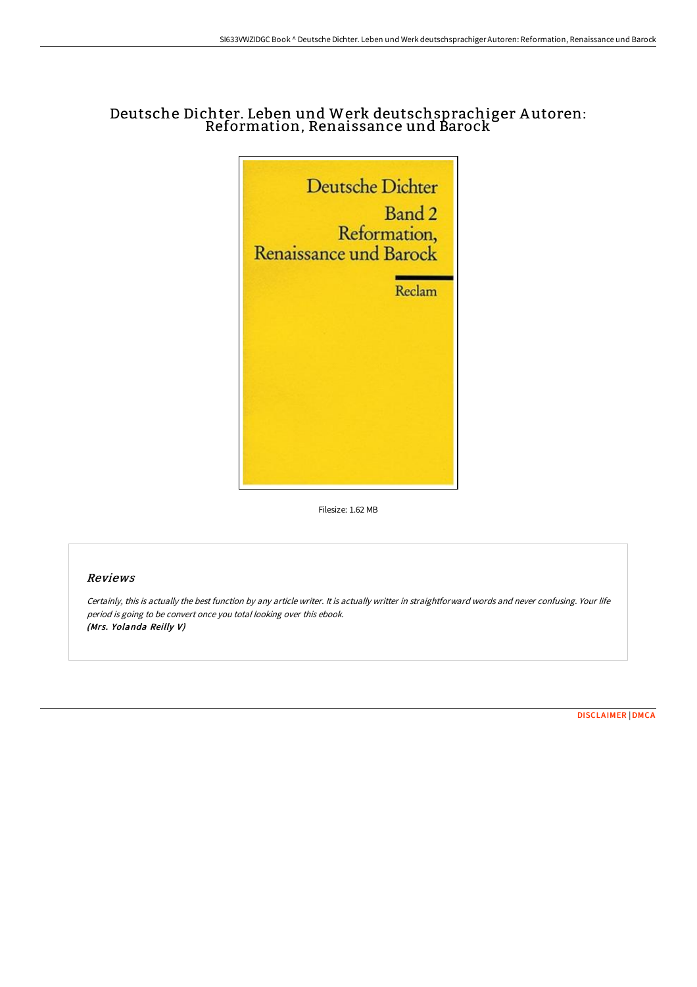# Deutsche Dichter. Leben und Werk deutschsprachiger A utoren: Reformation, Renaissance und Barock



Filesize: 1.62 MB

#### Reviews

Certainly, this is actually the best function by any article writer. It is actually writter in straightforward words and never confusing. Your life period is going to be convert once you total looking over this ebook. (Mrs. Yolanda Reilly V)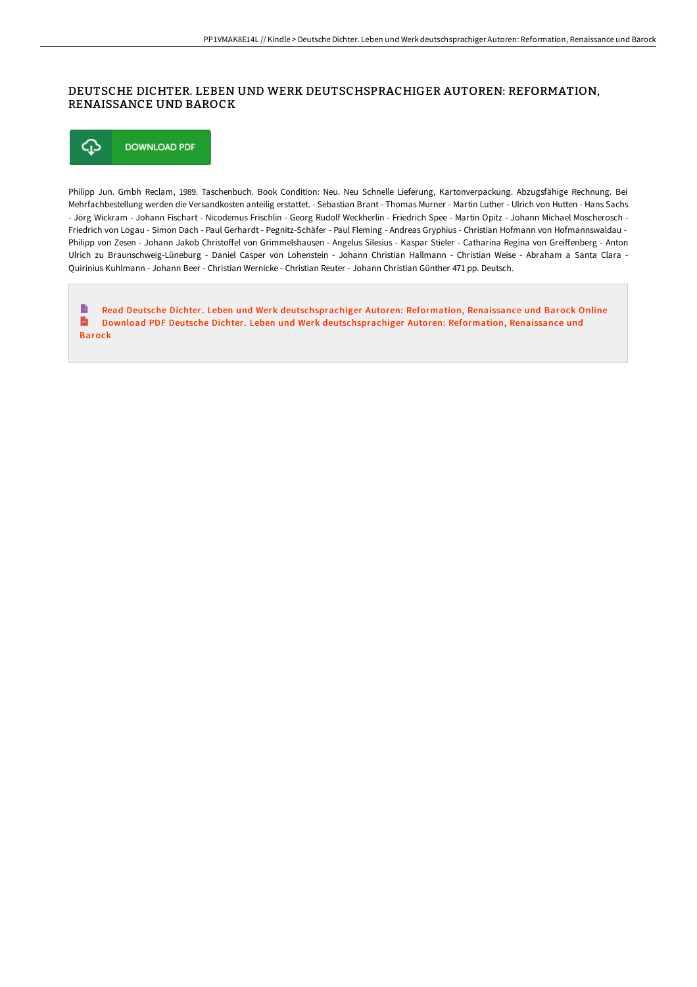### DEUTSCHE DICHTER. LEBEN UND WERK DEUTSCHSPRACHIGER AUTOREN: REFORMATION, RENAISSANCE UND BAROCK

⊕ **DOWNLOAD PDF** 

Philipp Jun. Gmbh Reclam, 1989. Taschenbuch. Book Condition: Neu. Neu Schnelle Lieferung, Kartonverpackung. Abzugsfähige Rechnung. Bei Mehrfachbestellung werden die Versandkosten anteilig erstattet. - Sebastian Brant - Thomas Murner - Martin Luther - Ulrich von Hutten - Hans Sachs - Jörg Wickram - Johann Fischart - Nicodemus Frischlin - Georg Rudolf Weckherlin - Friedrich Spee - Martin Opitz - Johann Michael Moscherosch - Friedrich von Logau - Simon Dach - Paul Gerhardt - Pegnitz-Schäfer - Paul Fleming - Andreas Gryphius - Christian Hofmann von Hofmannswaldau - Philipp von Zesen - Johann Jakob Christoffel von Grimmelshausen - Angelus Silesius - Kaspar Stieler - Catharina Regina von Greiffenberg - Anton Ulrich zu Braunschweig-Lüneburg - Daniel Casper von Lohenstein - Johann Christian Hallmann - Christian Weise - Abraham a Santa Clara - Quirinius Kuhlmann - Johann Beer - Christian Wernicke - Christian Reuter - Johann Christian Günther 471 pp. Deutsch.

Read Deutsche Dichter. Leben und Werk [deutschsprachiger](http://www.bookdirs.com/deutsche-dichter-leben-und-werk-deutschsprachige.html) Autoren: Reformation, Renaissance und Barock Online B  $\frac{1}{10}$ Download PDF Deutsche Dichter. Leben und Werk [deutschsprachiger](http://www.bookdirs.com/deutsche-dichter-leben-und-werk-deutschsprachige.html) Autoren: Reformation, Renaissance und Barock